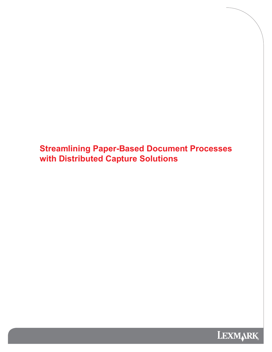**Streamlining Paper-Based Document Processes with Distributed Capture Solutions** 

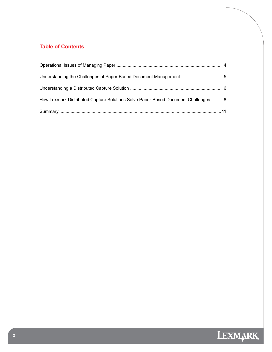# **Table of Contents**

| How Lexmark Distributed Capture Solutions Solve Paper-Based Document Challenges  8 |  |
|------------------------------------------------------------------------------------|--|
|                                                                                    |  |

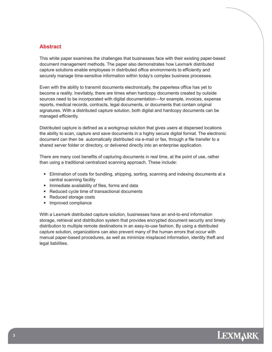## **Abstract**

This white paper examines the challenges that businesses face with their existing paper-based document management methods. The paper also demonstrates how Lexmark distributed capture solutions enable employees in distributed office environments to efficiently and securely manage time-sensitive information within today's complex business processes.

Even with the ability to transmit documents electronically, the paperless office has yet to become a reality. Inevitably, there are times when hardcopy documents created by outside sources need to be incorporated with digital documentation―for example, invoices, expense reports, medical records, contracts, legal documents, or documents that contain original signatures. With a distributed capture solution, both digital and hardcopy documents can be managed efficiently.

Distributed capture is defined as a workgroup solution that gives users at dispersed locations the ability to scan, capture and save documents in a highly secure digital format. The electronic document can then be automatically distributed via e-mail or fax, through a file transfer to a shared server folder or directory, or delivered directly into an enterprise application.

There are many cost benefits of capturing documents in real time, at the point of use, rather than using a traditional centralized scanning approach. These include:

- Elimination of costs for bundling, shipping, sorting, scanning and indexing documents at a central scanning facility
- Immediate availability of files, forms and data
- Reduced cycle time of transactional documents
- Reduced storage costs
- Improved compliance

With a Lexmark distributed capture solution, businesses have an end-to-end information storage, retrieval and distribution system that provides encrypted document security and timely distribution to multiple remote destinations in an easy-to-use fashion. By using a distributed capture solution, organizations can also prevent many of the human errors that occur with manual paper-based procedures, as well as minimize misplaced information, identity theft and legal liabilities.

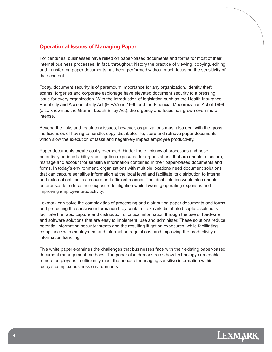#### **Operational Issues of Managing Paper**

For centuries, businesses have relied on paper-based documents and forms for most of their internal business processes. In fact, throughout history the practice of viewing, copying, editing and transferring paper documents has been performed without much focus on the sensitivity of their content.

Today, document security is of paramount importance for any organization. Identity theft, scams, forgeries and corporate espionage have elevated document security to a pressing issue for every organization. With the introduction of legislation such as the Health Insurance Portability and Accountability Act (HIPAA) in 1996 and the Financial Modernization Act of 1999 (also known as the Gramm-Leach-Billey Act), the urgency and focus has grown even more intense.

Beyond the risks and regulatory issues, however, organizations must also deal with the gross inefficiencies of having to handle, copy, distribute, file, store and retrieve paper documents, which slow the execution of tasks and negatively impact employee productivity.

Paper documents create costly overhead, hinder the efficiency of processes and pose potentially serious liability and litigation exposures for organizations that are unable to secure, manage and account for sensitive information contained in their paper-based documents and forms. In today's environment, organizations with multiple locations need document solutions that can capture sensitive information at the local level and facilitate its distribution to internal and external entities in a secure and efficient manner. The ideal solution would also enable enterprises to reduce their exposure to litigation while lowering operating expenses and improving employee productivity.

Lexmark can solve the complexities of processing and distributing paper documents and forms and protecting the sensitive information they contain. Lexmark distributed capture solutions facilitate the rapid capture and distribution of critical information through the use of hardware and software solutions that are easy to implement, use and administer. These solutions reduce potential information security threats and the resulting litigation exposures, while facilitating compliance with employment and information regulations, and improving the productivity of information handling.

This white paper examines the challenges that businesses face with their existing paper-based document management methods. The paper also demonstrates how technology can enable remote employees to efficiently meet the needs of managing sensitive information within today's complex business environments.

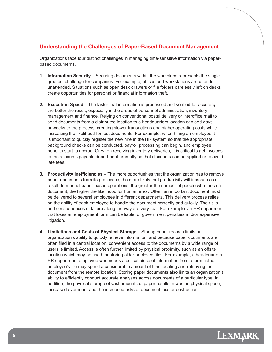## **Understanding the Challenges of Paper-Based Document Management**

Organizations face four distinct challenges in managing time-sensitive information via paperbased documents.

- **1. Information Security** Securing documents within the workplace represents the single greatest challenge for companies. For example, offices and workstations are often left unattended. Situations such as open desk drawers or file folders carelessly left on desks create opportunities for personal or financial information theft.
- **2. Execution Speed** The faster that information is processed and verified for accuracy, the better the result, especially in the areas of personnel administration, inventory management and finance. Relying on conventional postal delivery or interoffice mail to send documents from a distributed location to a headquarters location can add days or weeks to the process, creating slower transactions and higher operating costs while increasing the likelihood for lost documents. For example, when hiring an employee it is important to quickly register the new hire in the HR system so that the appropriate background checks can be conducted, payroll processing can begin, and employee benefits start to accrue. Or when receiving inventory deliveries, it is critical to get invoices to the accounts payable department promptly so that discounts can be applied or to avoid late fees.
- **3. Productivity Inefficiencies** The more opportunities that the organization has to remove paper documents from its processes, the more likely that productivity will increase as a result. In manual paper-based operations, the greater the number of people who touch a document, the higher the likelihood for human error. Often, an important document must be delivered to several employees in different departments. This delivery process relies on the ability of each employee to handle the document correctly and quickly. The risks and consequences of failure along the way are very real. For example, an HR department that loses an employment form can be liable for government penalties and/or expensive litigation.
- **4. Limitations and Costs of Physical Storage** Storing paper records limits an organization's ability to quickly retrieve information, and because paper documents are often filed in a central location, convenient access to the documents by a wide range of users is limited. Access is often further limited by physical proximity, such as an offsite location which may be used for storing older or closed files. For example, a headquarters HR department employee who needs a critical piece of information from a terminated employee's file may spend a considerable amount of time locating and retrieving the document from the remote location. Storing paper documents also limits an organization's ability to efficiently conduct accurate analyses across documents of a particular type. In addition, the physical storage of vast amounts of paper results in wasted physical space, increased overhead, and the increased risks of document loss or destruction.

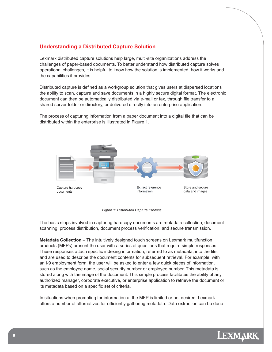## **Understanding a Distributed Capture Solution**

Lexmark distributed capture solutions help large, multi-site organizations address the challenges of paper-based documents. To better understand how distributed capture solves operational challenges, it is helpful to know how the solution is implemented, how it works and the capabilities it provides.

Distributed capture is defined as a workgroup solution that gives users at dispersed locations the ability to scan, capture and save documents in a highly secure digital format. The electronic document can then be automatically distributed via e-mail or fax, through file transfer to a shared server folder or directory, or delivered directly into an enterprise application.



The process of capturing information from a paper document into a digital file that can be distributed within the enterprise is illustrated in Figure 1.

*Figure 1: Distributed Capture Process*

The basic steps involved in capturing hardcopy documents are metadata collection, document scanning, process distribution, document process verification, and secure transmission.

**Metadata Collection** – The intuitively designed touch screens on Lexmark multifunction products (MFPs) present the user with a series of questions that require simple responses. These responses attach specific indexing information, referred to as metadata, into the file, and are used to describe the document contents for subsequent retrieval. For example, with an I-9 employment form, the user will be asked to enter a few quick pieces of information, such as the employee name, social security number or employee number. This metadata is stored along with the image of the document. This simple process facilitates the ability of any authorized manager, corporate executive, or enterprise application to retrieve the document or its metadata based on a specific set of criteria.

In situations when prompting for information at the MFP is limited or not desired, Lexmark offers a number of alternatives for efficiently gathering metadata. Data extraction can be done

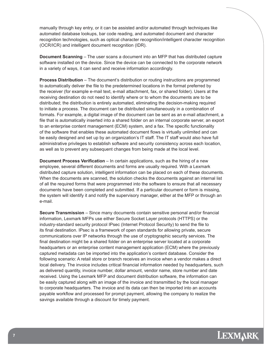manually through key entry, or it can be assisted and/or automated through techniques like automated database lookups, bar code reading, and automated document and character recognition technologies, such as optical character recognition/intelligent character recognition (OCR/ICR) and intelligent document recognition (IDR).

**Document Scanning** – The user scans a document into an MFP that has distributed capture software installed on the device. Since the device can be connected to the corporate network in a variety of ways, it can send and receive information accordingly.

**Process Distribution** – The document's distribution or routing instructions are programmed to automatically deliver the file to the predetermined locations in the format preferred by the receiver (for example e-mail text, e-mail attachment, fax, or shared folder). Users at the receiving destination do not need to identify where or to whom the documents are to be distributed; the distribution is entirely automated, eliminating the decision-making required to initiate a process. The document can be distributed simultaneously in a combination of formats. For example, a digital image of the document can be sent as an e-mail attachment, a file that is automatically inserted into a shared folder on an internal corporate server, an export to an enterprise content management (ECM) system, and a fax. The specific functionality of the software that enables these automated document flows is virtually unlimited and can be easily designed and set up by an organization's IT staff. The IT staff would also have full administrative privileges to establish software and security consistency across each location, as well as to prevent any subsequent changes from being made at the local level.

**Document Process Verification** – In certain applications, such as the hiring of a new employee, several different documents and forms are usually required. With a Lexmark distributed capture solution, intelligent information can be placed on each of these documents. When the documents are scanned, the solution checks the documents against an internal list of all the required forms that were programmed into the software to ensure that all necessary documents have been completed and submitted. If a particular document or form is missing, the system will identify it and notify the supervisory manager, either at the MFP or through an e-mail.

**Secure Transmission** – Since many documents contain sensitive personal and/or financial information, Lexmark MFPs use either Secure Socket Layer protocols (HTTPS) or the industry-standard security protocol IPsec (Internet Protocol Security) to send the file to its final destination. IPsec is a framework of open standards for allowing private, secure communications over IP networks through the use of cryptographic security services. The final destination might be a shared folder on an enterprise server located at a corporate headquarters or an enterprise content management application (ECM) where the previously captured metadata can be imported into the application's content database. Consider the following scenario: A retail store or branch receives an invoice when a vendor makes a direct local delivery. The invoice includes critical financial information needed by headquarters, such as delivered quantity, invoice number, dollar amount, vendor name, store number and date received. Using the Lexmark MFP and document distribution software, the information can be easily captured along with an image of the invoice and transmitted by the local manager to corporate headquarters. The invoice and its data can then be imported into an accounts payable workflow and processed for prompt payment, allowing the company to realize the savings available through a discount for timely payment.

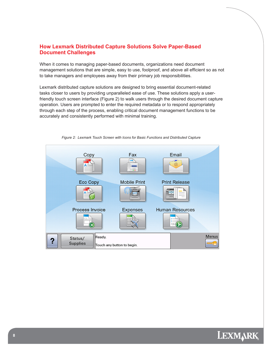## **How Lexmark Distributed Capture Solutions Solve Paper-Based Document Challenges**

When it comes to managing paper-based documents, organizations need document management solutions that are simple, easy to use, foolproof, and above all efficient so as not to take managers and employees away from their primary job responsibilities.

Lexmark distributed capture solutions are designed to bring essential document-related tasks closer to users by providing unparalleled ease of use. These solutions apply a userfriendly touch screen interface (Figure 2) to walk users through the desired document capture operation. Users are prompted to enter the required metadata or to respond appropriately through each step of the process, enabling critical document management functions to be accurately and consistently performed with minimal training.



*Figure 2: Lexmark Touch Screen with Icons for Basic Functions and Distributed Capture* 

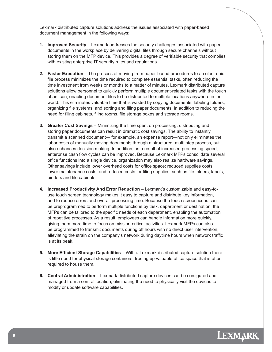Lexmark distributed capture solutions address the issues associated with paper-based document management in the following ways:

- **1. Improved Security**  Lexmark addresses the security challenges associated with paper documents in the workplace by delivering digital files through secure channels without storing them on the MFP device. This provides a degree of verifiable security that complies with existing enterprise IT security rules and regulations.
- **2. Faster Execution** The process of moving from paper-based procedures to an electronic file process minimizes the time required to complete essential tasks, often reducing the time investment from weeks or months to a matter of minutes. Lexmark distributed capture solutions allow personnel to quickly perform multiple document-related tasks with the touch of an icon, enabling document files to be distributed to multiple locations anywhere in the world. This eliminates valuable time that is wasted by copying documents, labeling folders, organizing file systems, and sorting and filing paper documents, in addition to reducing the need for filing cabinets, filing rooms, file storage boxes and storage rooms.
- **3. Greater Cost Savings** Minimizing the time spent on processing, distributing and storing paper documents can result in dramatic cost savings. The ability to instantly transmit a scanned document— for example, an expense report—not only eliminates the labor costs of manually moving documents through a structured, multi-step process, but also enhances decision making. In addition, as a result of increased processing speed, enterprise cash flow cycles can be improved. Because Lexmark MFPs consolidate several office functions into a single device, organization may also realize hardware savings. Other savings include lower overhead costs for office space; reduced supplies costs; lower maintenance costs; and reduced costs for filing supplies, such as file folders, labels, binders and file cabinets.
- **4. Increased Productivity And Error Reduction Lexmark's customizable and easy-to**use touch screen technology makes it easy to capture and distribute key information, and to reduce errors and overall processing time. Because the touch screen icons can be preprogrammed to perform multiple functions by task, department or destination, the MFPs can be tailored to the specific needs of each department, enabling the automation of repetitive processes. As a result, employees can handle information more quickly, giving them more time to focus on mission-critical activities. Lexmark MFPs can also be programmed to transmit documents during off hours with no direct user intervention, alleviating the strain on the company's network during daytime hours when network traffic is at its peak.
- **5.** More Efficient Storage Capabilities With a Lexmark distributed capture solution there is little need for physical storage containers, freeing up valuable office space that is often required to house them.
- **6. Central Administration** Lexmark distributed capture devices can be configured and managed from a central location, eliminating the need to physically visit the devices to modify or update software capabilities.

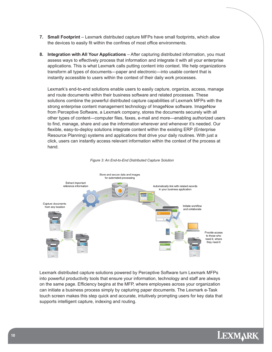- **7. Small Footprint**  Lexmark distributed capture MFPs have small footprints, which allow the devices to easily fit within the confines of most office environments.
- **8. Integration with All Your Applications** After capturing distributed information, you must assess ways to effectively process that information and integrate it with all your enterprise applications. This is what Lexmark calls putting content into context. We help organizations transform all types of documents―paper and electronic―into usable content that is instantly accessible to users within the context of their daily work processes.

Lexmark's end-to-end solutions enable users to easily capture, organize, access, manage and route documents within their business software and related processes. These solutions combine the powerful distributed capture capabilities of Lexmark MFPs with the strong enterprise content management technology of ImageNow software. ImageNow from Perceptive Software, a Lexmark company, stores the documents securely with all other types of content—computer files, faxes, e-mail and more—enabling authorized users to find, manage, share and use the information wherever and whenever it's needed. Our flexible, easy-to-deploy solutions integrate content within the existing ERP (Enterprise Resource Planning) systems and applications that drive your daily routines. With just a click, users can instantly access relevant information within the context of the process at hand.



*Figure 3: An End-to-End Distributed Capture Solution* 

Lexmark distributed capture solutions powered by Perceptive Software turn Lexmark MFPs into powerful productivity tools that ensure your information, technology and staff are always on the same page. Efficiency begins at the MFP, where employees across your organization can initiate a business process simply by capturing paper documents. The Lexmark e-Task touch screen makes this step quick and accurate, intuitively prompting users for key data that supports intelligent capture, indexing and routing.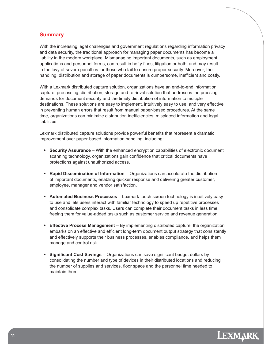#### **Summary**

With the increasing legal challenges and government regulations regarding information privacy and data security, the traditional approach for managing paper documents has become a liability in the modern workplace. Mismanaging important documents, such as employment applications and personnel forms, can result in hefty fines, litigation or both, and may result in the levy of severe penalties for those who fail to ensure proper security. Moreover, the handling, distribution and storage of paper documents is cumbersome, inefficient and costly.

With a Lexmark distributed capture solution, organizations have an end-to-end information capture, processing, distribution, storage and retrieval solution that addresses the pressing demands for document security and the timely distribution of information to multiple destinations. These solutions are easy to implement, intuitively easy to use, and very effective in preventing human errors that result from manual paper-based procedures. At the same time, organizations can minimize distribution inefficiencies, misplaced information and legal liabilities.

Lexmark distributed capture solutions provide powerful benefits that represent a dramatic improvement over paper-based information handling, including:

- **Security Assurance** With the enhanced encryption capabilities of electronic document scanning technology, organizations gain confidence that critical documents have protections against unauthorized access.
- **Rapid Dissemination of Information** Organizations can accelerate the distribution of important documents, enabling quicker response and delivering greater customer, employee, manager and vendor satisfaction.
- **Automated Business Processes** Lexmark touch screen technology is intuitively easy to use and lets users interact with familiar technology to speed up repetitive processes and consolidate complex tasks. Users can complete their document tasks in less time, freeing them for value-added tasks such as customer service and revenue generation.
- **Effective Process Management** By implementing distributed capture, the organization embarks on an effective and efficient long-term document output strategy that consistently and effectively supports their business processes, enables compliance, and helps them manage and control risk.
- **Significant Cost Savings** Organizations can save significant budget dollars by consolidating the number and type of devices in their distributed locations and reducing the number of supplies and services, floor space and the personnel time needed to maintain them.